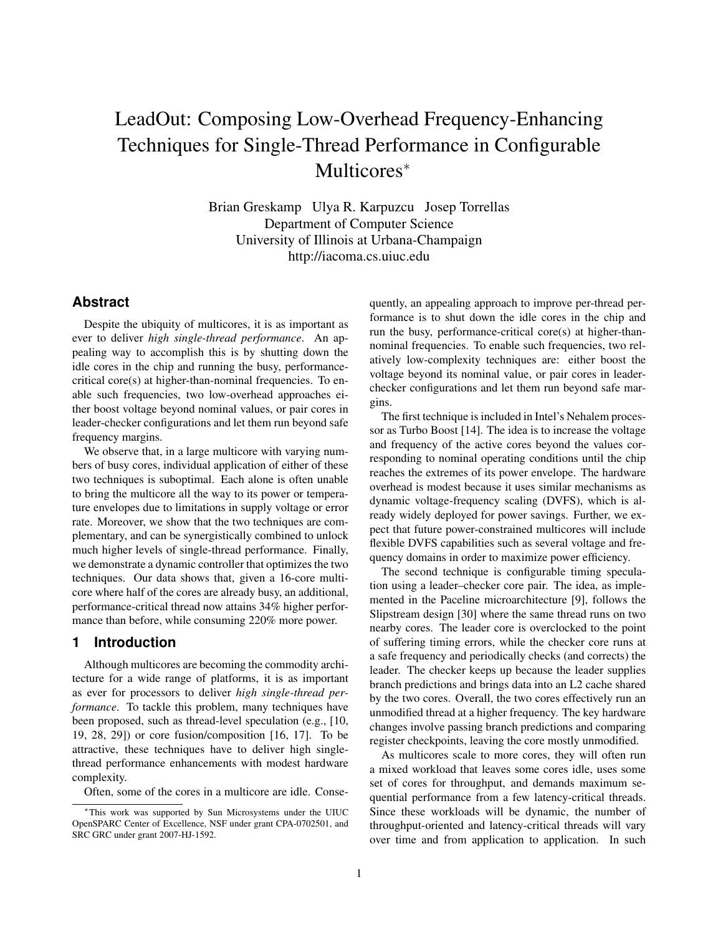# LeadOut: Composing Low-Overhead Frequency-Enhancing Techniques for Single-Thread Performance in Configurable Multicores<sup>∗</sup>

Brian Greskamp Ulya R. Karpuzcu Josep Torrellas Department of Computer Science University of Illinois at Urbana-Champaign http://iacoma.cs.uiuc.edu

## **Abstract**

Despite the ubiquity of multicores, it is as important as ever to deliver *high single-thread performance*. An appealing way to accomplish this is by shutting down the idle cores in the chip and running the busy, performancecritical core(s) at higher-than-nominal frequencies. To enable such frequencies, two low-overhead approaches either boost voltage beyond nominal values, or pair cores in leader-checker configurations and let them run beyond safe frequency margins.

We observe that, in a large multicore with varying numbers of busy cores, individual application of either of these two techniques is suboptimal. Each alone is often unable to bring the multicore all the way to its power or temperature envelopes due to limitations in supply voltage or error rate. Moreover, we show that the two techniques are complementary, and can be synergistically combined to unlock much higher levels of single-thread performance. Finally, we demonstrate a dynamic controller that optimizes the two techniques. Our data shows that, given a 16-core multicore where half of the cores are already busy, an additional, performance-critical thread now attains 34% higher performance than before, while consuming 220% more power.

## **1 Introduction**

Although multicores are becoming the commodity architecture for a wide range of platforms, it is as important as ever for processors to deliver *high single-thread performance*. To tackle this problem, many techniques have been proposed, such as thread-level speculation (e.g., [10, 19, 28, 29]) or core fusion/composition [16, 17]. To be attractive, these techniques have to deliver high singlethread performance enhancements with modest hardware complexity.

Often, some of the cores in a multicore are idle. Conse-

quently, an appealing approach to improve per-thread performance is to shut down the idle cores in the chip and run the busy, performance-critical core(s) at higher-thannominal frequencies. To enable such frequencies, two relatively low-complexity techniques are: either boost the voltage beyond its nominal value, or pair cores in leaderchecker configurations and let them run beyond safe margins.

The first technique is included in Intel's Nehalem processor as Turbo Boost [14]. The idea is to increase the voltage and frequency of the active cores beyond the values corresponding to nominal operating conditions until the chip reaches the extremes of its power envelope. The hardware overhead is modest because it uses similar mechanisms as dynamic voltage-frequency scaling (DVFS), which is already widely deployed for power savings. Further, we expect that future power-constrained multicores will include flexible DVFS capabilities such as several voltage and frequency domains in order to maximize power efficiency.

The second technique is configurable timing speculation using a leader–checker core pair. The idea, as implemented in the Paceline microarchitecture [9], follows the Slipstream design [30] where the same thread runs on two nearby cores. The leader core is overclocked to the point of suffering timing errors, while the checker core runs at a safe frequency and periodically checks (and corrects) the leader. The checker keeps up because the leader supplies branch predictions and brings data into an L2 cache shared by the two cores. Overall, the two cores effectively run an unmodified thread at a higher frequency. The key hardware changes involve passing branch predictions and comparing register checkpoints, leaving the core mostly unmodified.

As multicores scale to more cores, they will often run a mixed workload that leaves some cores idle, uses some set of cores for throughput, and demands maximum sequential performance from a few latency-critical threads. Since these workloads will be dynamic, the number of throughput-oriented and latency-critical threads will vary over time and from application to application. In such

<sup>∗</sup>This work was supported by Sun Microsystems under the UIUC OpenSPARC Center of Excellence, NSF under grant CPA-0702501, and SRC GRC under grant 2007-HJ-1592.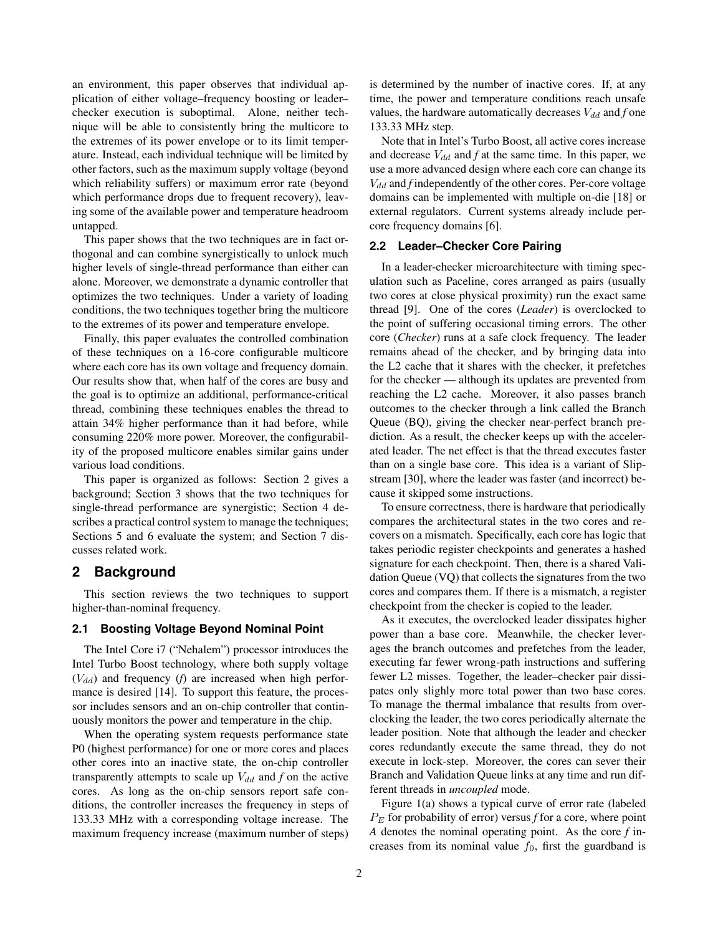an environment, this paper observes that individual application of either voltage–frequency boosting or leader– checker execution is suboptimal. Alone, neither technique will be able to consistently bring the multicore to the extremes of its power envelope or to its limit temperature. Instead, each individual technique will be limited by other factors, such as the maximum supply voltage (beyond which reliability suffers) or maximum error rate (beyond which performance drops due to frequent recovery), leaving some of the available power and temperature headroom untapped.

This paper shows that the two techniques are in fact orthogonal and can combine synergistically to unlock much higher levels of single-thread performance than either can alone. Moreover, we demonstrate a dynamic controller that optimizes the two techniques. Under a variety of loading conditions, the two techniques together bring the multicore to the extremes of its power and temperature envelope.

Finally, this paper evaluates the controlled combination of these techniques on a 16-core configurable multicore where each core has its own voltage and frequency domain. Our results show that, when half of the cores are busy and the goal is to optimize an additional, performance-critical thread, combining these techniques enables the thread to attain 34% higher performance than it had before, while consuming 220% more power. Moreover, the configurability of the proposed multicore enables similar gains under various load conditions.

This paper is organized as follows: Section 2 gives a background; Section 3 shows that the two techniques for single-thread performance are synergistic; Section 4 describes a practical control system to manage the techniques; Sections 5 and 6 evaluate the system; and Section 7 discusses related work.

## **2 Background**

This section reviews the two techniques to support higher-than-nominal frequency.

## **2.1 Boosting Voltage Beyond Nominal Point**

The Intel Core i7 ("Nehalem") processor introduces the Intel Turbo Boost technology, where both supply voltage  $(V_{dd})$  and frequency (*f*) are increased when high performance is desired [14]. To support this feature, the processor includes sensors and an on-chip controller that continuously monitors the power and temperature in the chip.

When the operating system requests performance state P0 (highest performance) for one or more cores and places other cores into an inactive state, the on-chip controller transparently attempts to scale up  $V_{dd}$  and  $f$  on the active cores. As long as the on-chip sensors report safe conditions, the controller increases the frequency in steps of 133.33 MHz with a corresponding voltage increase. The maximum frequency increase (maximum number of steps)

is determined by the number of inactive cores. If, at any time, the power and temperature conditions reach unsafe values, the hardware automatically decreases  $V_{dd}$  and  $f$  one 133.33 MHz step.

Note that in Intel's Turbo Boost, all active cores increase and decrease  $V_{dd}$  and  $f$  at the same time. In this paper, we use a more advanced design where each core can change its  $V_{dd}$  and *f* independently of the other cores. Per-core voltage domains can be implemented with multiple on-die [18] or external regulators. Current systems already include percore frequency domains [6].

## **2.2 Leader–Checker Core Pairing**

In a leader-checker microarchitecture with timing speculation such as Paceline, cores arranged as pairs (usually two cores at close physical proximity) run the exact same thread [9]. One of the cores (*Leader*) is overclocked to the point of suffering occasional timing errors. The other core (*Checker*) runs at a safe clock frequency. The leader remains ahead of the checker, and by bringing data into the L2 cache that it shares with the checker, it prefetches for the checker — although its updates are prevented from reaching the L2 cache. Moreover, it also passes branch outcomes to the checker through a link called the Branch Queue (BQ), giving the checker near-perfect branch prediction. As a result, the checker keeps up with the accelerated leader. The net effect is that the thread executes faster than on a single base core. This idea is a variant of Slipstream [30], where the leader was faster (and incorrect) because it skipped some instructions.

To ensure correctness, there is hardware that periodically compares the architectural states in the two cores and recovers on a mismatch. Specifically, each core has logic that takes periodic register checkpoints and generates a hashed signature for each checkpoint. Then, there is a shared Validation Queue (VQ) that collects the signatures from the two cores and compares them. If there is a mismatch, a register checkpoint from the checker is copied to the leader.

As it executes, the overclocked leader dissipates higher power than a base core. Meanwhile, the checker leverages the branch outcomes and prefetches from the leader, executing far fewer wrong-path instructions and suffering fewer L2 misses. Together, the leader–checker pair dissipates only slighly more total power than two base cores. To manage the thermal imbalance that results from overclocking the leader, the two cores periodically alternate the leader position. Note that although the leader and checker cores redundantly execute the same thread, they do not execute in lock-step. Moreover, the cores can sever their Branch and Validation Queue links at any time and run different threads in *uncoupled* mode.

Figure 1(a) shows a typical curve of error rate (labeled  $P<sub>E</sub>$  for probability of error) versus *f* for a core, where point *A* denotes the nominal operating point. As the core *f* increases from its nominal value  $f_0$ , first the guardband is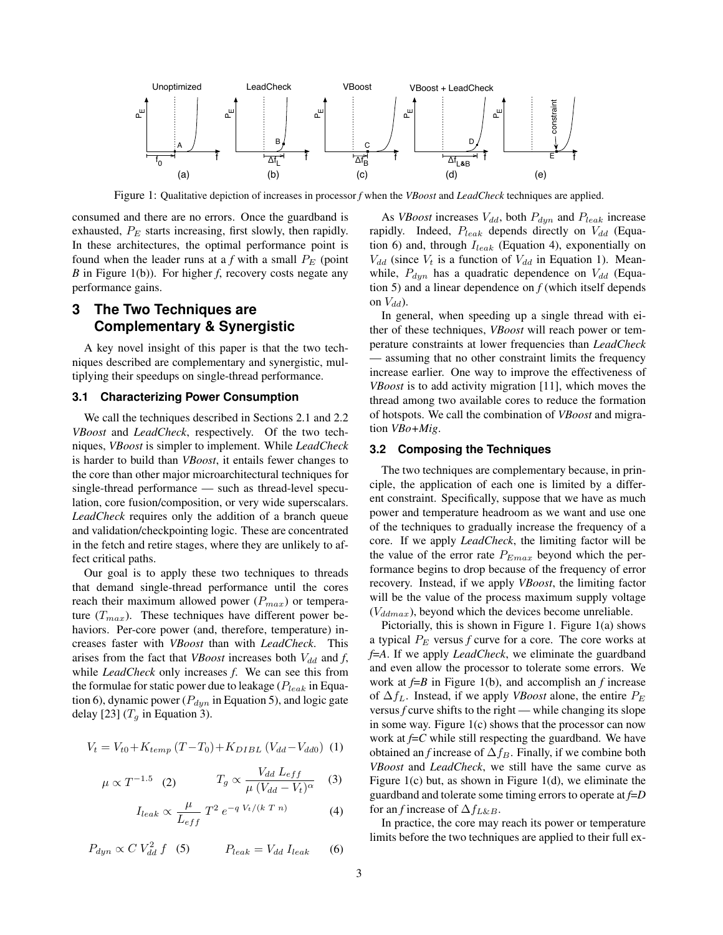

Figure 1: Qualitative depiction of increases in processor *f* when the *VBoost* and *LeadCheck* techniques are applied.

consumed and there are no errors. Once the guardband is exhausted,  $P_E$  starts increasing, first slowly, then rapidly. In these architectures, the optimal performance point is found when the leader runs at a  $f$  with a small  $P_E$  (point *B* in Figure 1(b)). For higher *f*, recovery costs negate any performance gains.

## **3 The Two Techniques are Complementary & Synergistic**

A key novel insight of this paper is that the two techniques described are complementary and synergistic, multiplying their speedups on single-thread performance.

#### **3.1 Characterizing Power Consumption**

We call the techniques described in Sections 2.1 and 2.2 *VBoost* and *LeadCheck*, respectively. Of the two techniques, *VBoost* is simpler to implement. While *LeadCheck* is harder to build than *VBoost*, it entails fewer changes to the core than other major microarchitectural techniques for single-thread performance — such as thread-level speculation, core fusion/composition, or very wide superscalars. *LeadCheck* requires only the addition of a branch queue and validation/checkpointing logic. These are concentrated in the fetch and retire stages, where they are unlikely to affect critical paths.

Our goal is to apply these two techniques to threads that demand single-thread performance until the cores reach their maximum allowed power  $(P_{max})$  or temperature  $(T_{max})$ . These techniques have different power behaviors. Per-core power (and, therefore, temperature) increases faster with *VBoost* than with *LeadCheck*. This arises from the fact that *VBoost* increases both  $V_{dd}$  and *f*, while *LeadCheck* only increases *f*. We can see this from the formulae for static power due to leakage ( $P_{leak}$  in Equation 6), dynamic power ( $P_{dyn}$  in Equation 5), and logic gate delay [23]  $(T_q$  in Equation 3).

$$
V_t = V_{t0} + K_{temp} (T - T_0) + K_{DIBL} (V_{dd} - V_{dd0}) (1)
$$

$$
\mu \propto T^{-1.5} \quad (2) \qquad T_g \propto \frac{V_{dd} L_{eff}}{\mu (V_{dd} - V_t)^{\alpha}} \quad (3)
$$

$$
I_{leak} \propto \frac{\mu}{L_{eff}} T^2 e^{-q V_t/(k T n)}
$$
 (4)

 $P_{dyn} \propto C V_{dd}^2 f$  (5)  $P_{leak} = V_{dd} I_{leak}$  (6)

As *VBoost* increases  $V_{dd}$ , both  $P_{dyn}$  and  $P_{leak}$  increase rapidly. Indeed,  $P_{leak}$  depends directly on  $V_{dd}$  (Equation 6) and, through  $I_{leak}$  (Equation 4), exponentially on  $V_{dd}$  (since  $V_t$  is a function of  $V_{dd}$  in Equation 1). Meanwhile,  $P_{dyn}$  has a quadratic dependence on  $V_{dd}$  (Equation 5) and a linear dependence on  $f$  (which itself depends on  $V_{dd}$ ).

In general, when speeding up a single thread with either of these techniques, *VBoost* will reach power or temperature constraints at lower frequencies than *LeadCheck* — assuming that no other constraint limits the frequency increase earlier. One way to improve the effectiveness of *VBoost* is to add activity migration [11], which moves the thread among two available cores to reduce the formation of hotspots. We call the combination of *VBoost* and migration *VBo+Mig*.

### **3.2 Composing the Techniques**

The two techniques are complementary because, in principle, the application of each one is limited by a different constraint. Specifically, suppose that we have as much power and temperature headroom as we want and use one of the techniques to gradually increase the frequency of a core. If we apply *LeadCheck*, the limiting factor will be the value of the error rate  $P_{Emax}$  beyond which the performance begins to drop because of the frequency of error recovery. Instead, if we apply *VBoost*, the limiting factor will be the value of the process maximum supply voltage  $(V_{ddmax})$ , beyond which the devices become unreliable.

Pictorially, this is shown in Figure 1. Figure 1(a) shows a typical  $P_E$  versus  $f$  curve for a core. The core works at *f*=*A*. If we apply *LeadCheck*, we eliminate the guardband and even allow the processor to tolerate some errors. We work at *f*=*B* in Figure 1(b), and accomplish an *f* increase of  $\Delta f_L$ . Instead, if we apply *VBoost* alone, the entire  $P_E$ versus  $f$  curve shifts to the right — while changing its slope in some way. Figure 1(c) shows that the processor can now work at  $f = C$  while still respecting the guardband. We have obtained an *f* increase of  $\Delta f_B$ . Finally, if we combine both *VBoost* and *LeadCheck*, we still have the same curve as Figure 1(c) but, as shown in Figure 1(d), we eliminate the guardband and tolerate some timing errors to operate at *f*=*D* for an *f* increase of  $\Delta f_{L\&B}$ .

In practice, the core may reach its power or temperature limits before the two techniques are applied to their full ex-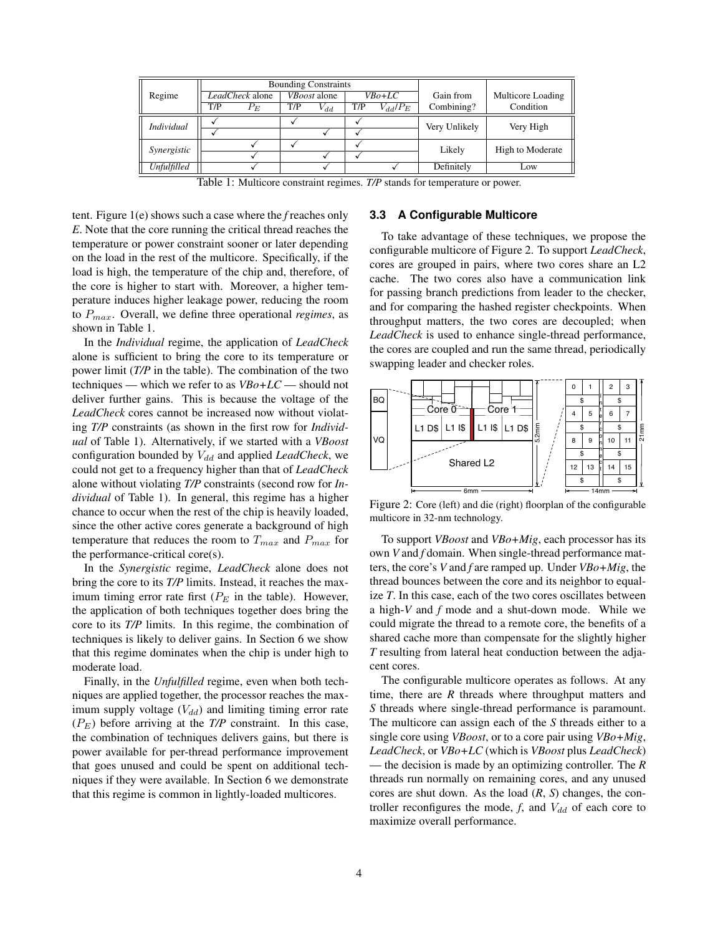|                    |     | <b>Bounding Constraints</b> |     |                     |     |              |               |                   |
|--------------------|-----|-----------------------------|-----|---------------------|-----|--------------|---------------|-------------------|
| Regime             |     | LeadCheck alone             |     | <i>VBoost</i> alone |     | $VBo+LC$     | Gain from     | Multicore Loading |
|                    | T/P | $P_E$                       | T/P | $V_{dd}$            | T/P | $V_{dd}/P_E$ | Combining?    | Condition         |
| <b>Individual</b>  |     |                             |     |                     |     |              |               |                   |
|                    |     |                             |     |                     |     |              | Very Unlikely | Very High         |
| Synergistic        |     |                             |     |                     |     |              | Likely        | High to Moderate  |
|                    |     |                             |     |                     |     |              |               |                   |
| <b>Unfulfilled</b> |     |                             |     |                     |     |              | Definitely    | Low               |

Table 1: Multicore constraint regimes. *T/P* stands for temperature or power.

tent. Figure 1(e) shows such a case where the *f* reaches only *E*. Note that the core running the critical thread reaches the temperature or power constraint sooner or later depending on the load in the rest of the multicore. Specifically, if the load is high, the temperature of the chip and, therefore, of the core is higher to start with. Moreover, a higher temperature induces higher leakage power, reducing the room to Pmax. Overall, we define three operational *regimes*, as shown in Table 1.

In the *Individual* regime, the application of *LeadCheck* alone is sufficient to bring the core to its temperature or power limit (*T/P* in the table). The combination of the two techniques — which we refer to as *VBo+LC* — should not deliver further gains. This is because the voltage of the *LeadCheck* cores cannot be increased now without violating *T/P* constraints (as shown in the first row for *Individual* of Table 1). Alternatively, if we started with a *VBoost* configuration bounded by  $V_{dd}$  and applied *LeadCheck*, we could not get to a frequency higher than that of *LeadCheck* alone without violating *T/P* constraints (second row for *Individual* of Table 1). In general, this regime has a higher chance to occur when the rest of the chip is heavily loaded, since the other active cores generate a background of high temperature that reduces the room to  $T_{max}$  and  $P_{max}$  for the performance-critical core(s).

In the *Synergistic* regime, *LeadCheck* alone does not bring the core to its *T/P* limits. Instead, it reaches the maximum timing error rate first  $(P_E$  in the table). However, the application of both techniques together does bring the core to its *T/P* limits. In this regime, the combination of techniques is likely to deliver gains. In Section 6 we show that this regime dominates when the chip is under high to moderate load.

Finally, in the *Unfulfilled* regime, even when both techniques are applied together, the processor reaches the maximum supply voltage  $(V_{dd})$  and limiting timing error rate  $(P_E)$  before arriving at the *T*/*P* constraint. In this case, the combination of techniques delivers gains, but there is power available for per-thread performance improvement that goes unused and could be spent on additional techniques if they were available. In Section 6 we demonstrate that this regime is common in lightly-loaded multicores.

## **3.3 A Configurable Multicore**

To take advantage of these techniques, we propose the configurable multicore of Figure 2. To support *LeadCheck*, cores are grouped in pairs, where two cores share an L2 cache. The two cores also have a communication link for passing branch predictions from leader to the checker, and for comparing the hashed register checkpoints. When throughput matters, the two cores are decoupled; when *LeadCheck* is used to enhance single-thread performance, the cores are coupled and run the same thread, periodically swapping leader and checker roles.



Figure 2: Core (left) and die (right) floorplan of the configurable multicore in 32-nm technology.

To support *VBoost* and *VBo+Mig*, each processor has its own *V* and *f* domain. When single-thread performance matters, the core's *V* and *f* are ramped up. Under *VBo+Mig*, the thread bounces between the core and its neighbor to equalize *T*. In this case, each of the two cores oscillates between a high-*V* and *f* mode and a shut-down mode. While we could migrate the thread to a remote core, the benefits of a shared cache more than compensate for the slightly higher *T* resulting from lateral heat conduction between the adjacent cores.

The configurable multicore operates as follows. At any time, there are *R* threads where throughput matters and *S* threads where single-thread performance is paramount. The multicore can assign each of the *S* threads either to a single core using *VBoost*, or to a core pair using *VBo+Mig*, *LeadCheck*, or *VBo+LC* (which is *VBoost* plus *LeadCheck*) — the decision is made by an optimizing controller. The *R* threads run normally on remaining cores, and any unused cores are shut down. As the load (*R*, *S*) changes, the controller reconfigures the mode,  $f$ , and  $V_{dd}$  of each core to maximize overall performance.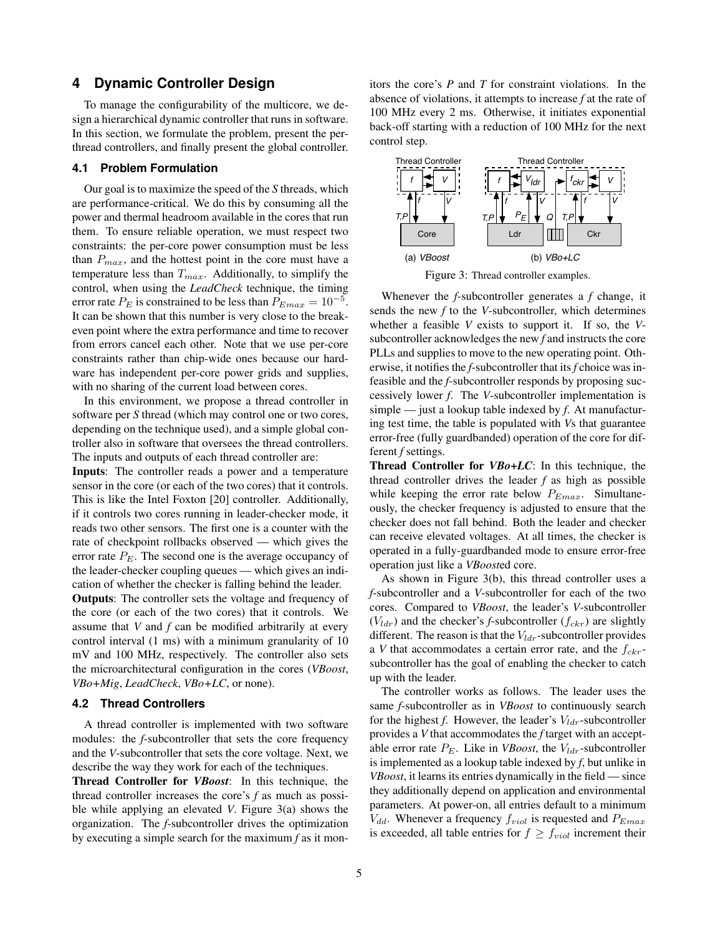## **4 Dynamic Controller Design**

To manage the configurability of the multicore, we design a hierarchical dynamic controller that runs in software. In this section, we formulate the problem, present the perthread controllers, and finally present the global controller.

#### **4.1 Problem Formulation**

Our goal is to maximize the speed of the *S* threads, which are performance-critical. We do this by consuming all the power and thermal headroom available in the cores that run them. To ensure reliable operation, we must respect two constraints: the per-core power consumption must be less than  $P_{max}$ , and the hottest point in the core must have a temperature less than  $T_{max}$ . Additionally, to simplify the control, when using the *LeadCheck* technique, the timing error rate  $P_E$  is constrained to be less than  $P_{Emax} = 10^{-5}$ . It can be shown that this number is very close to the breakeven point where the extra performance and time to recover from errors cancel each other. Note that we use per-core constraints rather than chip-wide ones because our hardware has independent per-core power grids and supplies, with no sharing of the current load between cores.

In this environment, we propose a thread controller in software per *S* thread (which may control one or two cores, depending on the technique used), and a simple global controller also in software that oversees the thread controllers. The inputs and outputs of each thread controller are:

Inputs: The controller reads a power and a temperature sensor in the core (or each of the two cores) that it controls. This is like the Intel Foxton [20] controller. Additionally, if it controls two cores running in leader-checker mode, it reads two other sensors. The first one is a counter with the rate of checkpoint rollbacks observed — which gives the error rate  $P_E$ . The second one is the average occupancy of the leader-checker coupling queues — which gives an indication of whether the checker is falling behind the leader.

Outputs: The controller sets the voltage and frequency of the core (or each of the two cores) that it controls. We assume that *V* and *f* can be modified arbitrarily at every control interval (1 ms) with a minimum granularity of 10 mV and 100 MHz, respectively. The controller also sets the microarchitectural configuration in the cores (*VBoost*, *VBo+Mig*, *LeadCheck*, *VBo+LC*, or none).

#### **4.2 Thread Controllers**

A thread controller is implemented with two software modules: the *f*-subcontroller that sets the core frequency and the *V*-subcontroller that sets the core voltage. Next, we describe the way they work for each of the techniques.

Thread Controller for *VBoost*: In this technique, the thread controller increases the core's *f* as much as possible while applying an elevated *V*. Figure 3(a) shows the organization. The *f*-subcontroller drives the optimization by executing a simple search for the maximum *f* as it monitors the core's *P* and *T* for constraint violations. In the absence of violations, it attempts to increase *f* at the rate of 100 MHz every 2 ms. Otherwise, it initiates exponential back-off starting with a reduction of 100 MHz for the next control step.



Figure 3: Thread controller examples.

Whenever the *f*-subcontroller generates a *f* change, it sends the new *f* to the *V*-subcontroller, which determines whether a feasible *V* exists to support it. If so, the *V*subcontroller acknowledges the new *f* and instructs the core PLLs and supplies to move to the new operating point. Otherwise, it notifies the *f*-subcontroller that its *f* choice was infeasible and the *f*-subcontroller responds by proposing successively lower *f*. The *V*-subcontroller implementation is simple — just a lookup table indexed by *f*. At manufacturing test time, the table is populated with *V*s that guarantee error-free (fully guardbanded) operation of the core for different *f* settings.

Thread Controller for *VBo+LC*: In this technique, the thread controller drives the leader *f* as high as possible while keeping the error rate below  $P_{Emax}$ . Simultaneously, the checker frequency is adjusted to ensure that the checker does not fall behind. Both the leader and checker can receive elevated voltages. At all times, the checker is operated in a fully-guardbanded mode to ensure error-free operation just like a *VBoost*ed core.

As shown in Figure 3(b), this thread controller uses a *f*-subcontroller and a *V*-subcontroller for each of the two cores. Compared to *VBoost*, the leader's *V*-subcontroller  $(V_{ldr})$  and the checker's *f*-subcontroller  $(f_{ckr})$  are slightly different. The reason is that the  $V_{ldr}$ -subcontroller provides a *V* that accommodates a certain error rate, and the  $f_{\text{ckr}}$ subcontroller has the goal of enabling the checker to catch up with the leader.

The controller works as follows. The leader uses the same *f*-subcontroller as in *VBoost* to continuously search for the highest  $f$ . However, the leader's  $V_{ldr}$ -subcontroller provides a *V* that accommodates the *f* target with an acceptable error rate  $P_E$ . Like in *VBoost*, the  $V_{ldr}$ -subcontroller is implemented as a lookup table indexed by *f*, but unlike in *VBoost*, it learns its entries dynamically in the field — since they additionally depend on application and environmental parameters. At power-on, all entries default to a minimum  $V_{dd}$ . Whenever a frequency  $f_{viol}$  is requested and  $P_{Emax}$ is exceeded, all table entries for  $f \ge f_{viol}$  increment their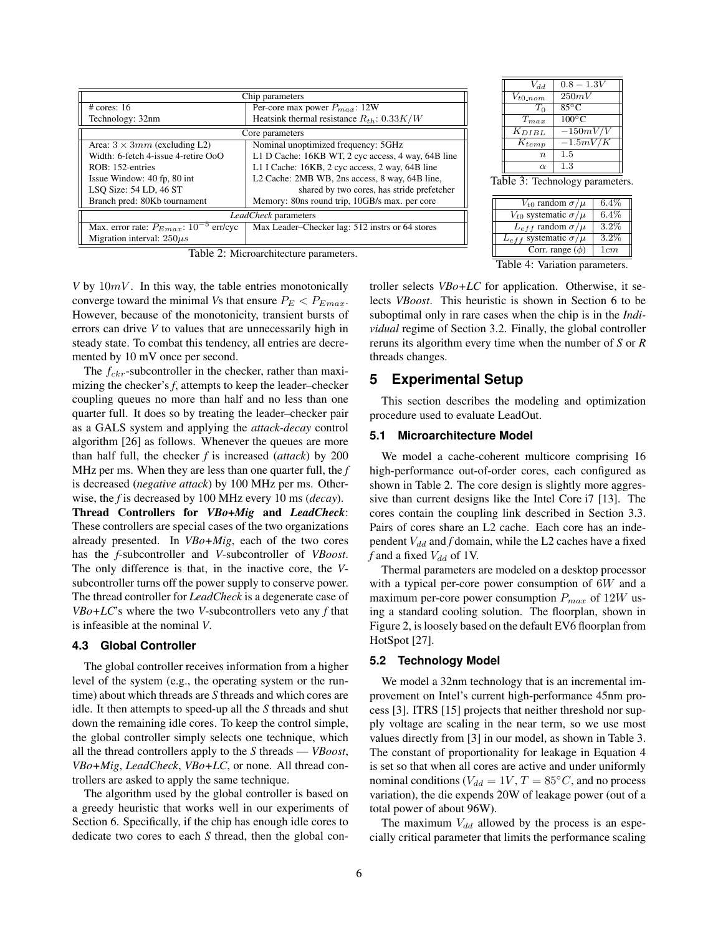| Chip parameters                                        |                                                    |  |  |  |  |
|--------------------------------------------------------|----------------------------------------------------|--|--|--|--|
| # cores: 16                                            | Per-core max power $P_{max}$ : 12W                 |  |  |  |  |
| Technology: 32nm                                       | Heatsink thermal resistance $R_{th}$ : 0.33K/W     |  |  |  |  |
| Core parameters                                        |                                                    |  |  |  |  |
| Area: $3 \times 3mm$ (excluding L2)                    | Nominal unoptimized frequency: 5GHz                |  |  |  |  |
| Width: 6-fetch 4-issue 4-retire OoO                    | L1 D Cache: 16KB WT, 2 cyc access, 4 way, 64B line |  |  |  |  |
| ROB: 152-entries                                       | L1 I Cache: 16KB, 2 cyc access, 2 way, 64B line    |  |  |  |  |
| Issue Window: 40 fp, 80 int                            | L2 Cache: 2MB WB, 2ns access, 8 way, 64B line,     |  |  |  |  |
| LSQ Size: 54 LD, 46 ST                                 | shared by two cores, has stride prefetcher         |  |  |  |  |
| Branch pred: 80Kb tournament                           | Memory: 80ns round trip, 10GB/s max. per core      |  |  |  |  |
| <i>LeadCheck</i> parameters                            |                                                    |  |  |  |  |
| Max. error rate: $P_{Emax}$ : 10 <sup>-5</sup> err/cyc | Max Leader-Checker lag: 512 instrs or 64 stores    |  |  |  |  |
| Migration interval: $250\mu s$                         |                                                    |  |  |  |  |

Table 2: Microarchitecture parameters.

*V* by  $10mV$ . In this way, the table entries monotonically converge toward the minimal *Vs* that ensure  $P_E < P_{Emax}$ . However, because of the monotonicity, transient bursts of errors can drive *V* to values that are unnecessarily high in steady state. To combat this tendency, all entries are decremented by 10 mV once per second.

The  $f_{ckr}$ -subcontroller in the checker, rather than maximizing the checker's *f*, attempts to keep the leader–checker coupling queues no more than half and no less than one quarter full. It does so by treating the leader–checker pair as a GALS system and applying the *attack-decay* control algorithm [26] as follows. Whenever the queues are more than half full, the checker *f* is increased (*attack*) by 200 MHz per ms. When they are less than one quarter full, the *f* is decreased (*negative attack*) by 100 MHz per ms. Otherwise, the *f* is decreased by 100 MHz every 10 ms (*decay*).

Thread Controllers for *VBo+Mig* and *LeadCheck*: These controllers are special cases of the two organizations already presented. In *VBo+Mig*, each of the two cores has the *f*-subcontroller and *V*-subcontroller of *VBoost*. The only difference is that, in the inactive core, the *V*subcontroller turns off the power supply to conserve power. The thread controller for *LeadCheck* is a degenerate case of *VBo+LC*'s where the two *V*-subcontrollers veto any *f* that is infeasible at the nominal *V*.

#### **4.3 Global Controller**

The global controller receives information from a higher level of the system (e.g., the operating system or the runtime) about which threads are *S* threads and which cores are idle. It then attempts to speed-up all the *S* threads and shut down the remaining idle cores. To keep the control simple, the global controller simply selects one technique, which all the thread controllers apply to the *S* threads — *VBoost*, *VBo+Mig*, *LeadCheck*, *VBo+LC*, or none. All thread controllers are asked to apply the same technique.

The algorithm used by the global controller is based on a greedy heuristic that works well in our experiments of Section 6. Specifically, if the chip has enough idle cores to dedicate two cores to each *S* thread, then the global con-

| $V_{dd}$              | $0.8 - 1.3V$    |
|-----------------------|-----------------|
| $V_{t0-nom}$          | 250mV           |
| To                    | $85^{\circ}$ C  |
| $T_{max}$             | $100^{\circ}$ C |
| $\overline{K}_{DIBL}$ | $-150mV/V$      |
| $\overline{K}_{temp}$ | $-1.5mV/K$      |
| $\boldsymbol{n}$      | 1.5             |
| $\alpha$              | 1.3             |

Table 3: Technology parameters.

| $V_{t0}$ random $\sigma/\mu$      | $6.4\%$ |
|-----------------------------------|---------|
| $V_{t0}$ systematic $\sigma/\mu$  | $6.4\%$ |
| $L_{eff}$ random $\sigma/\mu$     | $3.2\%$ |
| $L_{eff}$ systematic $\sigma/\mu$ | $3.2\%$ |
| Corr. range $(\phi)$              | 1cm     |

Table 4: Variation parameters.

troller selects *VBo+LC* for application. Otherwise, it selects *VBoost*. This heuristic is shown in Section 6 to be suboptimal only in rare cases when the chip is in the *Individual* regime of Section 3.2. Finally, the global controller reruns its algorithm every time when the number of *S* or *R* threads changes.

## **5 Experimental Setup**

This section describes the modeling and optimization procedure used to evaluate LeadOut.

#### **5.1 Microarchitecture Model**

We model a cache-coherent multicore comprising 16 high-performance out-of-order cores, each configured as shown in Table 2. The core design is slightly more aggressive than current designs like the Intel Core i7 [13]. The cores contain the coupling link described in Section 3.3. Pairs of cores share an L2 cache. Each core has an independent  $V_{dd}$  and  $f$  domain, while the L2 caches have a fixed  $f$  and a fixed  $V_{dd}$  of 1V.

Thermal parameters are modeled on a desktop processor with a typical per-core power consumption of 6W and a maximum per-core power consumption  $P_{max}$  of 12W using a standard cooling solution. The floorplan, shown in Figure 2, is loosely based on the default EV6 floorplan from HotSpot [27].

## **5.2 Technology Model**

We model a 32nm technology that is an incremental improvement on Intel's current high-performance 45nm process [3]. ITRS [15] projects that neither threshold nor supply voltage are scaling in the near term, so we use most values directly from [3] in our model, as shown in Table 3. The constant of proportionality for leakage in Equation 4 is set so that when all cores are active and under uniformly nominal conditions ( $V_{dd} = 1V$ ,  $T = 85\degree C$ , and no process variation), the die expends 20W of leakage power (out of a total power of about 96W).

The maximum  $V_{dd}$  allowed by the process is an especially critical parameter that limits the performance scaling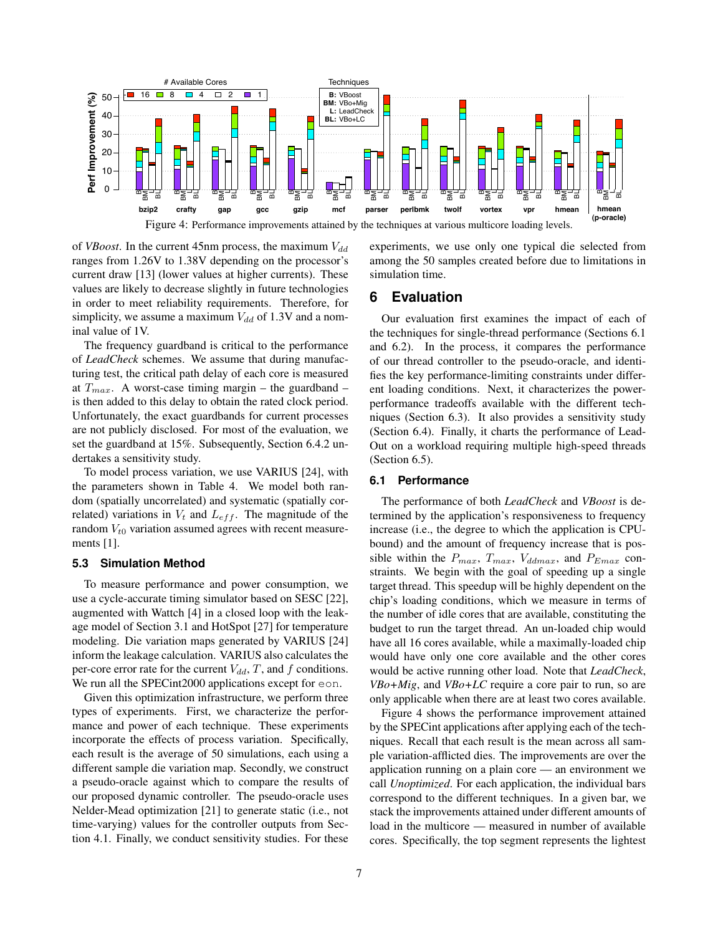

of *VBoost*. In the current 45nm process, the maximum  $V_{dd}$ ranges from 1.26V to 1.38V depending on the processor's current draw [13] (lower values at higher currents). These values are likely to decrease slightly in future technologies in order to meet reliability requirements. Therefore, for simplicity, we assume a maximum  $V_{dd}$  of 1.3V and a nominal value of 1V.

The frequency guardband is critical to the performance of *LeadCheck* schemes. We assume that during manufacturing test, the critical path delay of each core is measured at  $T_{max}$ . A worst-case timing margin – the guardband – is then added to this delay to obtain the rated clock period. Unfortunately, the exact guardbands for current processes are not publicly disclosed. For most of the evaluation, we set the guardband at 15%. Subsequently, Section 6.4.2 undertakes a sensitivity study.

To model process variation, we use VARIUS [24], with the parameters shown in Table 4. We model both random (spatially uncorrelated) and systematic (spatially correlated) variations in  $V_t$  and  $L_{eff}$ . The magnitude of the random  $V_{t0}$  variation assumed agrees with recent measurements [1].

#### **5.3 Simulation Method**

To measure performance and power consumption, we use a cycle-accurate timing simulator based on SESC [22], augmented with Wattch [4] in a closed loop with the leakage model of Section 3.1 and HotSpot [27] for temperature modeling. Die variation maps generated by VARIUS [24] inform the leakage calculation. VARIUS also calculates the per-core error rate for the current  $V_{dd}$ , T, and f conditions. We run all the SPECint2000 applications except for eon.

Given this optimization infrastructure, we perform three types of experiments. First, we characterize the performance and power of each technique. These experiments incorporate the effects of process variation. Specifically, each result is the average of 50 simulations, each using a different sample die variation map. Secondly, we construct a pseudo-oracle against which to compare the results of our proposed dynamic controller. The pseudo-oracle uses Nelder-Mead optimization [21] to generate static (i.e., not time-varying) values for the controller outputs from Section 4.1. Finally, we conduct sensitivity studies. For these experiments, we use only one typical die selected from among the 50 samples created before due to limitations in simulation time.

## **6 Evaluation**

Our evaluation first examines the impact of each of the techniques for single-thread performance (Sections 6.1 and 6.2). In the process, it compares the performance of our thread controller to the pseudo-oracle, and identifies the key performance-limiting constraints under different loading conditions. Next, it characterizes the powerperformance tradeoffs available with the different techniques (Section 6.3). It also provides a sensitivity study (Section 6.4). Finally, it charts the performance of Lead-Out on a workload requiring multiple high-speed threads (Section 6.5).

## **6.1 Performance**

The performance of both *LeadCheck* and *VBoost* is determined by the application's responsiveness to frequency increase (i.e., the degree to which the application is CPUbound) and the amount of frequency increase that is possible within the  $P_{max}$ ,  $T_{max}$ ,  $V_{ddmax}$ , and  $P_{Emax}$  constraints. We begin with the goal of speeding up a single target thread. This speedup will be highly dependent on the chip's loading conditions, which we measure in terms of the number of idle cores that are available, constituting the budget to run the target thread. An un-loaded chip would have all 16 cores available, while a maximally-loaded chip would have only one core available and the other cores would be active running other load. Note that *LeadCheck*, *VBo+Mig*, and *VBo+LC* require a core pair to run, so are only applicable when there are at least two cores available.

Figure 4 shows the performance improvement attained by the SPECint applications after applying each of the techniques. Recall that each result is the mean across all sample variation-afflicted dies. The improvements are over the application running on a plain core — an environment we call *Unoptimized*. For each application, the individual bars correspond to the different techniques. In a given bar, we stack the improvements attained under different amounts of load in the multicore — measured in number of available cores. Specifically, the top segment represents the lightest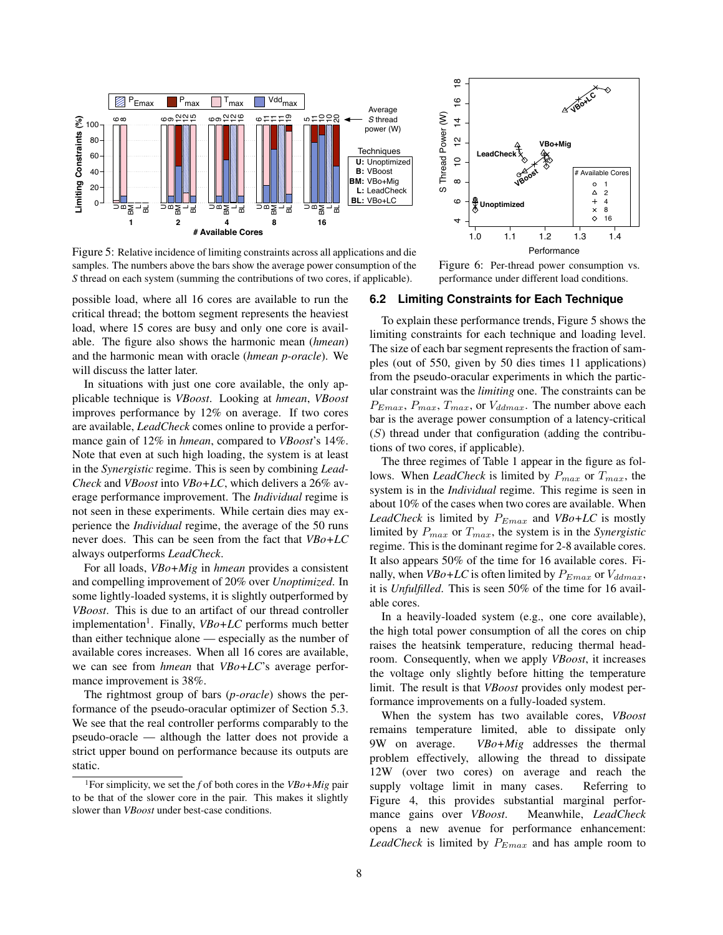

Figure 5: Relative incidence of limiting constraints across all applications and die samples. The numbers above the bars show the average power consumption of the *S* thread on each system (summing the contributions of two cores, if applicable).

possible load, where all 16 cores are available to run the critical thread; the bottom segment represents the heaviest load, where 15 cores are busy and only one core is available. The figure also shows the harmonic mean (*hmean*) and the harmonic mean with oracle (*hmean p-oracle*). We will discuss the latter later.

In situations with just one core available, the only applicable technique is *VBoost*. Looking at *hmean*, *VBoost* improves performance by 12% on average. If two cores are available, *LeadCheck* comes online to provide a performance gain of 12% in *hmean*, compared to *VBoost*'s 14%. Note that even at such high loading, the system is at least in the *Synergistic* regime. This is seen by combining *Lead-Check* and *VBoost* into *VBo+LC*, which delivers a 26% average performance improvement. The *Individual* regime is not seen in these experiments. While certain dies may experience the *Individual* regime, the average of the 50 runs never does. This can be seen from the fact that *VBo+LC* always outperforms *LeadCheck*.

For all loads, *VBo+Mig* in *hmean* provides a consistent and compelling improvement of 20% over *Unoptimized*. In some lightly-loaded systems, it is slightly outperformed by *VBoost*. This is due to an artifact of our thread controller implementation<sup>1</sup>. Finally,  $VBo+LC$  performs much better than either technique alone — especially as the number of available cores increases. When all 16 cores are available, we can see from *hmean* that *VBo+LC*'s average performance improvement is 38%.

The rightmost group of bars (*p-oracle*) shows the performance of the pseudo-oracular optimizer of Section 5.3. We see that the real controller performs comparably to the pseudo-oracle — although the latter does not provide a strict upper bound on performance because its outputs are static.

1For simplicity, we set the *f* of both cores in the *VBo+Mig* pair to be that of the slower core in the pair. This makes it slightly slower than *VBoost* under best-case conditions.



Figure 6: Per-thread power consumption vs. performance under different load conditions.

## **6.2 Limiting Constraints for Each Technique**

To explain these performance trends, Figure 5 shows the limiting constraints for each technique and loading level. The size of each bar segment represents the fraction of samples (out of 550, given by 50 dies times 11 applications) from the pseudo-oracular experiments in which the particular constraint was the *limiting* one. The constraints can be  $P_{Emax}$ ,  $P_{max}$ ,  $T_{max}$ , or  $V_{ddmax}$ . The number above each bar is the average power consumption of a latency-critical  $(S)$  thread under that configuration (adding the contributions of two cores, if applicable).

The three regimes of Table 1 appear in the figure as follows. When *LeadCheck* is limited by  $P_{max}$  or  $T_{max}$ , the system is in the *Individual* regime. This regime is seen in about 10% of the cases when two cores are available. When *LeadCheck* is limited by  $P_{Emax}$  and  $VBo+LC$  is mostly limited by  $P_{max}$  or  $T_{max}$ , the system is in the *Synergistic* regime. This is the dominant regime for 2-8 available cores. It also appears 50% of the time for 16 available cores. Finally, when  $VBo+LC$  is often limited by  $P_{Emax}$  or  $V_{ddmax}$ , it is *Unfulfilled*. This is seen 50% of the time for 16 available cores.

In a heavily-loaded system (e.g., one core available), the high total power consumption of all the cores on chip raises the heatsink temperature, reducing thermal headroom. Consequently, when we apply *VBoost*, it increases the voltage only slightly before hitting the temperature limit. The result is that *VBoost* provides only modest performance improvements on a fully-loaded system.

When the system has two available cores, *VBoost* remains temperature limited, able to dissipate only 9W on average. *VBo+Mig* addresses the thermal problem effectively, allowing the thread to dissipate 12W (over two cores) on average and reach the supply voltage limit in many cases. Referring to Figure 4, this provides substantial marginal performance gains over *VBoost*. Meanwhile, *LeadCheck* opens a new avenue for performance enhancement: *LeadCheck* is limited by  $P_{Emax}$  and has ample room to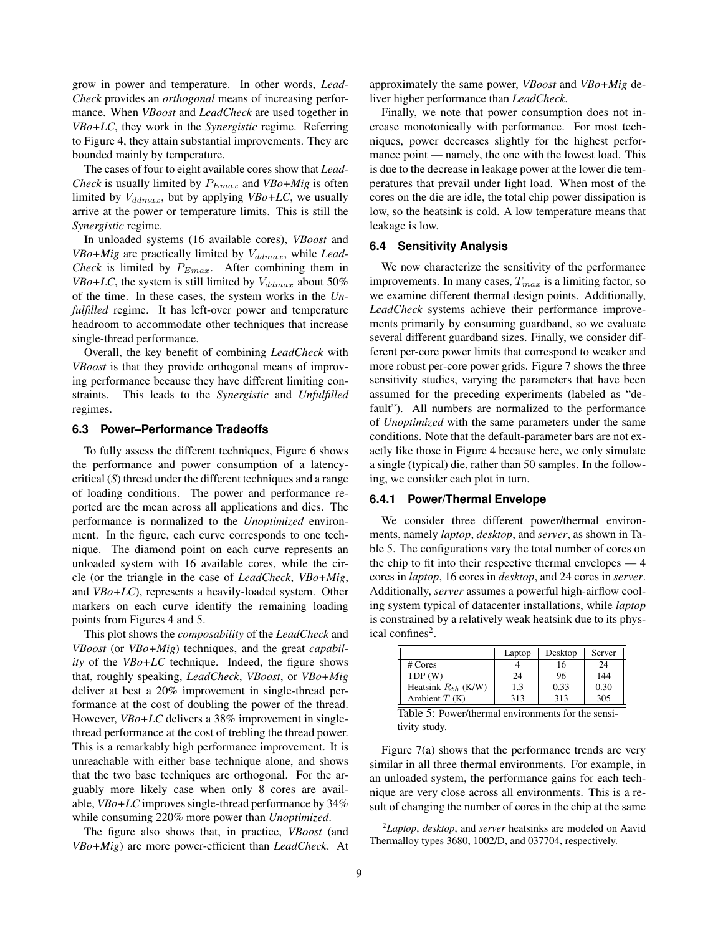grow in power and temperature. In other words, *Lead-Check* provides an *orthogonal* means of increasing performance. When *VBoost* and *LeadCheck* are used together in *VBo+LC*, they work in the *Synergistic* regime. Referring to Figure 4, they attain substantial improvements. They are bounded mainly by temperature.

The cases of four to eight available cores show that *Lead-Check* is usually limited by  $P_{Emax}$  and  $VBo+Mig$  is often limited by  $V_{ddmax}$ , but by applying  $VBo+LC$ , we usually arrive at the power or temperature limits. This is still the *Synergistic* regime.

In unloaded systems (16 available cores), *VBoost* and *VBo+Mig* are practically limited by  $V_{ddmax}$ , while *Lead-Check* is limited by  $P_{Emax}$ . After combining them in *VBo+LC*, the system is still limited by  $V_{ddmax}$  about 50% of the time. In these cases, the system works in the *Unfulfilled* regime. It has left-over power and temperature headroom to accommodate other techniques that increase single-thread performance.

Overall, the key benefit of combining *LeadCheck* with *VBoost* is that they provide orthogonal means of improving performance because they have different limiting constraints. This leads to the *Synergistic* and *Unfulfilled* regimes.

#### **6.3 Power–Performance Tradeoffs**

To fully assess the different techniques, Figure 6 shows the performance and power consumption of a latencycritical (*S*) thread under the different techniques and a range of loading conditions. The power and performance reported are the mean across all applications and dies. The performance is normalized to the *Unoptimized* environment. In the figure, each curve corresponds to one technique. The diamond point on each curve represents an unloaded system with 16 available cores, while the circle (or the triangle in the case of *LeadCheck*, *VBo+Mig*, and *VBo+LC*), represents a heavily-loaded system. Other markers on each curve identify the remaining loading points from Figures 4 and 5.

This plot shows the *composability* of the *LeadCheck* and *VBoost* (or *VBo+Mig*) techniques, and the great *capability* of the *VBo+LC* technique. Indeed, the figure shows that, roughly speaking, *LeadCheck*, *VBoost*, or *VBo+Mig* deliver at best a 20% improvement in single-thread performance at the cost of doubling the power of the thread. However, *VBo+LC* delivers a 38% improvement in singlethread performance at the cost of trebling the thread power. This is a remarkably high performance improvement. It is unreachable with either base technique alone, and shows that the two base techniques are orthogonal. For the arguably more likely case when only 8 cores are available, *VBo+LC* improves single-thread performance by 34% while consuming 220% more power than *Unoptimized*.

The figure also shows that, in practice, *VBoost* (and *VBo+Mig*) are more power-efficient than *LeadCheck*. At approximately the same power, *VBoost* and *VBo+Mig* deliver higher performance than *LeadCheck*.

Finally, we note that power consumption does not increase monotonically with performance. For most techniques, power decreases slightly for the highest performance point — namely, the one with the lowest load. This is due to the decrease in leakage power at the lower die temperatures that prevail under light load. When most of the cores on the die are idle, the total chip power dissipation is low, so the heatsink is cold. A low temperature means that leakage is low.

## **6.4 Sensitivity Analysis**

We now characterize the sensitivity of the performance improvements. In many cases,  $T_{max}$  is a limiting factor, so we examine different thermal design points. Additionally, *LeadCheck* systems achieve their performance improvements primarily by consuming guardband, so we evaluate several different guardband sizes. Finally, we consider different per-core power limits that correspond to weaker and more robust per-core power grids. Figure 7 shows the three sensitivity studies, varying the parameters that have been assumed for the preceding experiments (labeled as "default"). All numbers are normalized to the performance of *Unoptimized* with the same parameters under the same conditions. Note that the default-parameter bars are not exactly like those in Figure 4 because here, we only simulate a single (typical) die, rather than 50 samples. In the following, we consider each plot in turn.

#### **6.4.1 Power/Thermal Envelope**

We consider three different power/thermal environments, namely *laptop*, *desktop*, and *server*, as shown in Table 5. The configurations vary the total number of cores on the chip to fit into their respective thermal envelopes — 4 cores in *laptop*, 16 cores in *desktop*, and 24 cores in *server*. Additionally, *server* assumes a powerful high-airflow cooling system typical of datacenter installations, while *laptop* is constrained by a relatively weak heatsink due to its physical confines<sup>2</sup>.

|                         | Laptop | Desktop | Server |
|-------------------------|--------|---------|--------|
| # Cores                 |        | 16      | 24     |
| TDP(W)                  | 24     | 96      | 144    |
| Heatsink $R_{th}$ (K/W) | 1.3    | 0.33    | 0.30   |
| Ambient $T(K)$          | 313    | 313     | 305    |

Table 5: Power/thermal environments for the sensitivity study.

Figure 7(a) shows that the performance trends are very similar in all three thermal environments. For example, in an unloaded system, the performance gains for each technique are very close across all environments. This is a result of changing the number of cores in the chip at the same

<sup>2</sup>*Laptop*, *desktop*, and *server* heatsinks are modeled on Aavid Thermalloy types 3680, 1002/D, and 037704, respectively.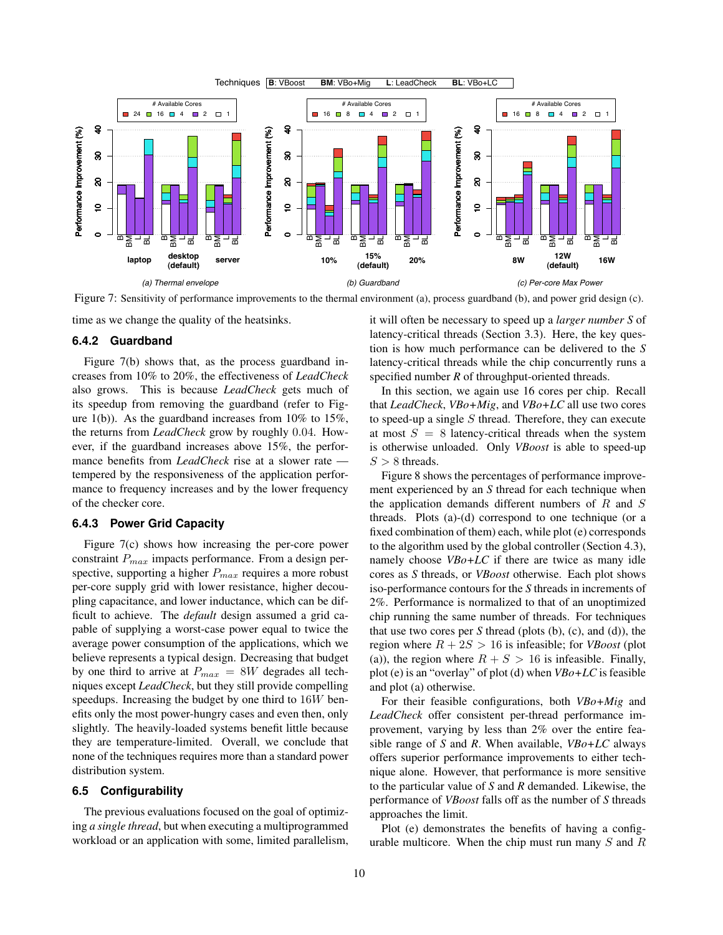

Figure 7: Sensitivity of performance improvements to the thermal environment (a), process guardband (b), and power grid design (c).

time as we change the quality of the heatsinks.

#### **6.4.2 Guardband**

Figure 7(b) shows that, as the process guardband increases from 10% to 20%, the effectiveness of *LeadCheck* also grows. This is because *LeadCheck* gets much of its speedup from removing the guardband (refer to Figure 1(b)). As the guardband increases from  $10\%$  to  $15\%$ , the returns from *LeadCheck* grow by roughly 0.04. However, if the guardband increases above 15%, the performance benefits from *LeadCheck* rise at a slower rate tempered by the responsiveness of the application performance to frequency increases and by the lower frequency of the checker core.

#### **6.4.3 Power Grid Capacity**

Figure 7(c) shows how increasing the per-core power constraint  $P_{max}$  impacts performance. From a design perspective, supporting a higher  $P_{max}$  requires a more robust per-core supply grid with lower resistance, higher decoupling capacitance, and lower inductance, which can be difficult to achieve. The *default* design assumed a grid capable of supplying a worst-case power equal to twice the average power consumption of the applications, which we believe represents a typical design. Decreasing that budget by one third to arrive at  $P_{max} = 8W$  degrades all techniques except *LeadCheck*, but they still provide compelling speedups. Increasing the budget by one third to 16W benefits only the most power-hungry cases and even then, only slightly. The heavily-loaded systems benefit little because they are temperature-limited. Overall, we conclude that none of the techniques requires more than a standard power distribution system.

#### **6.5 Configurability**

The previous evaluations focused on the goal of optimizing *a single thread*, but when executing a multiprogrammed workload or an application with some, limited parallelism,

it will often be necessary to speed up a *larger number S* of latency-critical threads (Section 3.3). Here, the key question is how much performance can be delivered to the *S* latency-critical threads while the chip concurrently runs a specified number *R* of throughput-oriented threads.

In this section, we again use 16 cores per chip. Recall that *LeadCheck*, *VBo+Mig*, and *VBo+LC* all use two cores to speed-up a single  $S$  thread. Therefore, they can execute at most  $S = 8$  latency-critical threads when the system is otherwise unloaded. Only *VBoost* is able to speed-up  $S > 8$  threads.

Figure 8 shows the percentages of performance improvement experienced by an *S* thread for each technique when the application demands different numbers of  $R$  and  $S$ threads. Plots (a)-(d) correspond to one technique (or a fixed combination of them) each, while plot (e) corresponds to the algorithm used by the global controller (Section 4.3), namely choose *VBo+LC* if there are twice as many idle cores as *S* threads, or *VBoost* otherwise. Each plot shows iso-performance contours for the *S* threads in increments of 2%. Performance is normalized to that of an unoptimized chip running the same number of threads. For techniques that use two cores per *S* thread (plots (b), (c), and (d)), the region where  $R + 2S > 16$  is infeasible; for *VBoost* (plot (a)), the region where  $R + S > 16$  is infeasible. Finally, plot (e) is an "overlay" of plot (d) when *VBo+LC* is feasible and plot (a) otherwise.

For their feasible configurations, both *VBo+Mig* and *LeadCheck* offer consistent per-thread performance improvement, varying by less than 2% over the entire feasible range of *S* and *R*. When available, *VBo+LC* always offers superior performance improvements to either technique alone. However, that performance is more sensitive to the particular value of *S* and *R* demanded. Likewise, the performance of *VBoost* falls off as the number of *S* threads approaches the limit.

Plot (e) demonstrates the benefits of having a configurable multicore. When the chip must run many  $S$  and  $R$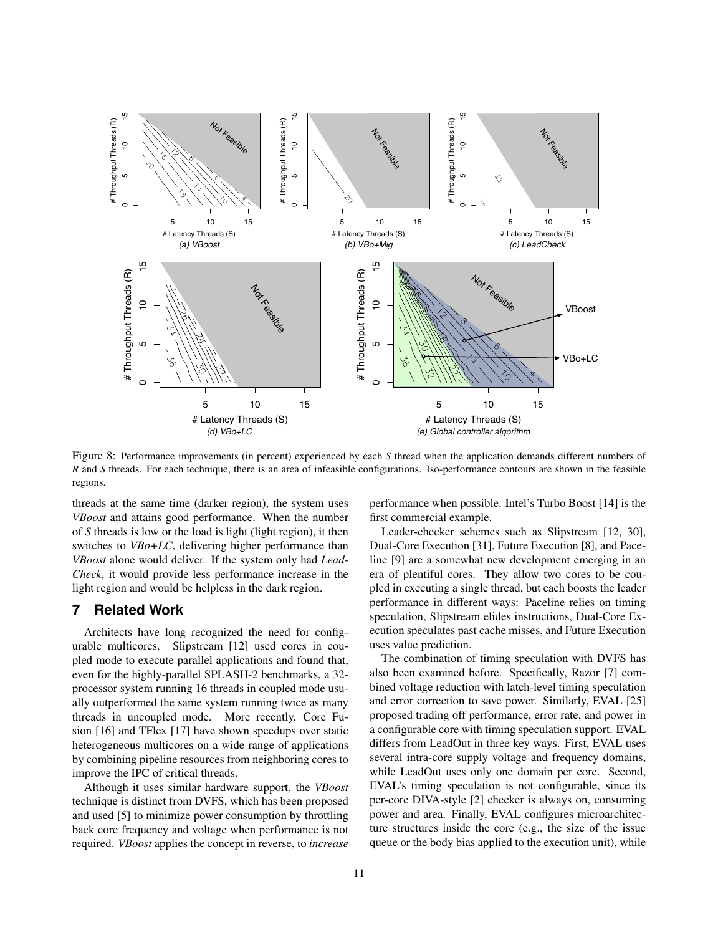

Figure 8: Performance improvements (in percent) experienced by each *S* thread when the application demands different numbers of *R* and *S* threads. For each technique, there is an area of infeasible configurations. Iso-performance contours are shown in the feasible regions.

threads at the same time (darker region), the system uses *VBoost* and attains good performance. When the number of *S* threads is low or the load is light (light region), it then switches to *VBo+LC*, delivering higher performance than *VBoost* alone would deliver. If the system only had *Lead-Check*, it would provide less performance increase in the light region and would be helpless in the dark region.

## **7 Related Work**

Architects have long recognized the need for configurable multicores. Slipstream [12] used cores in coupled mode to execute parallel applications and found that, even for the highly-parallel SPLASH-2 benchmarks, a 32 processor system running 16 threads in coupled mode usually outperformed the same system running twice as many threads in uncoupled mode. More recently, Core Fusion [16] and TFlex [17] have shown speedups over static heterogeneous multicores on a wide range of applications by combining pipeline resources from neighboring cores to improve the IPC of critical threads.

Although it uses similar hardware support, the *VBoost* technique is distinct from DVFS, which has been proposed and used [5] to minimize power consumption by throttling back core frequency and voltage when performance is not required. *VBoost* applies the concept in reverse, to *increase*

performance when possible. Intel's Turbo Boost [14] is the first commercial example.

Leader-checker schemes such as Slipstream [12, 30], Dual-Core Execution [31], Future Execution [8], and Paceline [9] are a somewhat new development emerging in an era of plentiful cores. They allow two cores to be coupled in executing a single thread, but each boosts the leader performance in different ways: Paceline relies on timing speculation, Slipstream elides instructions, Dual-Core Execution speculates past cache misses, and Future Execution uses value prediction.

The combination of timing speculation with DVFS has also been examined before. Specifically, Razor [7] combined voltage reduction with latch-level timing speculation and error correction to save power. Similarly, EVAL [25] proposed trading off performance, error rate, and power in a configurable core with timing speculation support. EVAL differs from LeadOut in three key ways. First, EVAL uses several intra-core supply voltage and frequency domains, while LeadOut uses only one domain per core. Second, EVAL's timing speculation is not configurable, since its per-core DIVA-style [2] checker is always on, consuming power and area. Finally, EVAL configures microarchitecture structures inside the core (e.g., the size of the issue queue or the body bias applied to the execution unit), while